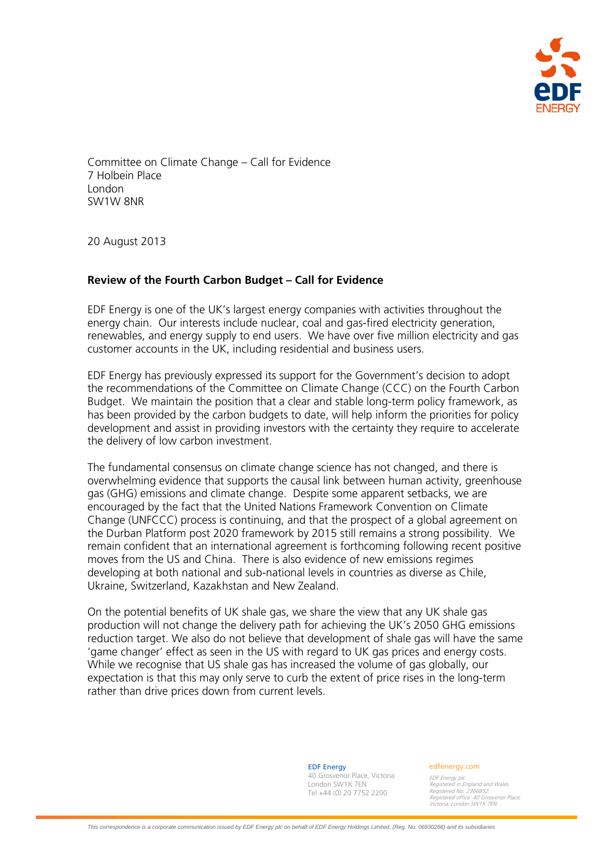

Committee on Climate Change – Call for Evidence 7 Holbein Place London SW1W 8NR

20 August 2013

# **Review of the Fourth Carbon Budget – Call for Evidence**

EDF Energy is one of the UK's largest energy companies with activities throughout the energy chain. Our interests include nuclear, coal and gas-fired electricity generation, renewables, and energy supply to end users. We have over five million electricity and gas customer accounts in the UK, including residential and business users.

EDF Energy has previously expressed its support for the Government's decision to adopt the recommendations of the Committee on Climate Change (CCC) on the Fourth Carbon Budget. We maintain the position that a clear and stable long-term policy framework, as has been provided by the carbon budgets to date, will help inform the priorities for policy development and assist in providing investors with the certainty they require to accelerate the delivery of low carbon investment.

The fundamental consensus on climate change science has not changed, and there is overwhelming evidence that supports the causal link between human activity, greenhouse gas (GHG) emissions and climate change. Despite some apparent setbacks, we are encouraged by the fact that the United Nations Framework Convention on Climate Change (UNFCCC) process is continuing, and that the prospect of a global agreement on the Durban Platform post 2020 framework by 2015 still remains a strong possibility. We remain confident that an international agreement is forthcoming following recent positive moves from the US and China. There is also evidence of new emissions regimes developing at both national and sub-national levels in countries as diverse as Chile, Ukraine, Switzerland, Kazakhstan and New Zealand.

On the potential benefits of UK shale gas, we share the view that any UK shale gas production will not change the delivery path for achieving the UK's 2050 GHG emissions reduction target. We also do not believe that development of shale gas will have the same 'game changer' effect as seen in the US with regard to UK gas prices and energy costs. While we recognise that US shale gas has increased the volume of gas globally, our expectation is that this may only serve to curb the extent of price rises in the long-term rather than drive prices down from current levels.

> London SW1X 7EN Tel +44 (0) 20 7752 2200 EDF Energy 40 Grosvenor Place, Victoria

#### edfenergy.com

EDF Energy plc. Registered in England and Wales. Registered No. 2366852. Registered office: 40 Grosvenor Place, Victoria, London SW1X 7EN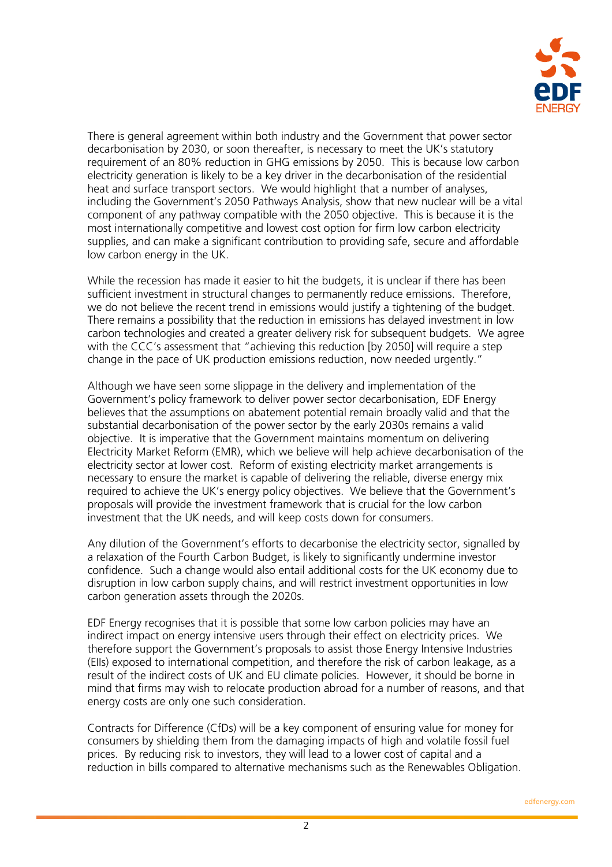

There is general agreement within both industry and the Government that power sector decarbonisation by 2030, or soon thereafter, is necessary to meet the UK's statutory requirement of an 80% reduction in GHG emissions by 2050. This is because low carbon electricity generation is likely to be a key driver in the decarbonisation of the residential heat and surface transport sectors. We would highlight that a number of analyses, including the Government's 2050 Pathways Analysis, show that new nuclear will be a vital component of any pathway compatible with the 2050 objective. This is because it is the most internationally competitive and lowest cost option for firm low carbon electricity supplies, and can make a significant contribution to providing safe, secure and affordable low carbon energy in the UK.

While the recession has made it easier to hit the budgets, it is unclear if there has been sufficient investment in structural changes to permanently reduce emissions. Therefore, we do not believe the recent trend in emissions would justify a tightening of the budget. There remains a possibility that the reduction in emissions has delayed investment in low carbon technologies and created a greater delivery risk for subsequent budgets. We agree with the CCC's assessment that "achieving this reduction [by 2050] will require a step change in the pace of UK production emissions reduction, now needed urgently."

Although we have seen some slippage in the delivery and implementation of the Government's policy framework to deliver power sector decarbonisation, EDF Energy believes that the assumptions on abatement potential remain broadly valid and that the substantial decarbonisation of the power sector by the early 2030s remains a valid objective. It is imperative that the Government maintains momentum on delivering Electricity Market Reform (EMR), which we believe will help achieve decarbonisation of the electricity sector at lower cost. Reform of existing electricity market arrangements is necessary to ensure the market is capable of delivering the reliable, diverse energy mix required to achieve the UK's energy policy objectives. We believe that the Government's proposals will provide the investment framework that is crucial for the low carbon investment that the UK needs, and will keep costs down for consumers.

Any dilution of the Government's efforts to decarbonise the electricity sector, signalled by a relaxation of the Fourth Carbon Budget, is likely to significantly undermine investor confidence. Such a change would also entail additional costs for the UK economy due to disruption in low carbon supply chains, and will restrict investment opportunities in low carbon generation assets through the 2020s.

EDF Energy recognises that it is possible that some low carbon policies may have an indirect impact on energy intensive users through their effect on electricity prices. We therefore support the Government's proposals to assist those Energy Intensive Industries (EIIs) exposed to international competition, and therefore the risk of carbon leakage, as a result of the indirect costs of UK and EU climate policies. However, it should be borne in mind that firms may wish to relocate production abroad for a number of reasons, and that energy costs are only one such consideration.

Contracts for Difference (CfDs) will be a key component of ensuring value for money for consumers by shielding them from the damaging impacts of high and volatile fossil fuel prices. By reducing risk to investors, they will lead to a lower cost of capital and a reduction in bills compared to alternative mechanisms such as the Renewables Obligation.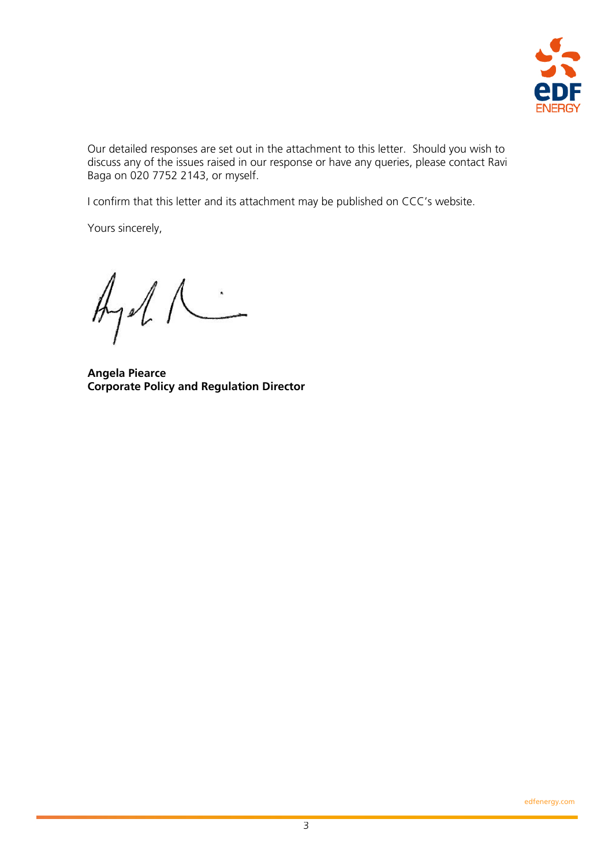

Our detailed responses are set out in the attachment to this letter. Should you wish to discuss any of the issues raised in our response or have any queries, please contact Ravi Baga on 020 7752 2143, or myself.

I confirm that this letter and its attachment may be published on CCC's website.

Yours sincerely,

 $A_1$ 

**Angela Piearce Corporate Policy and Regulation Director**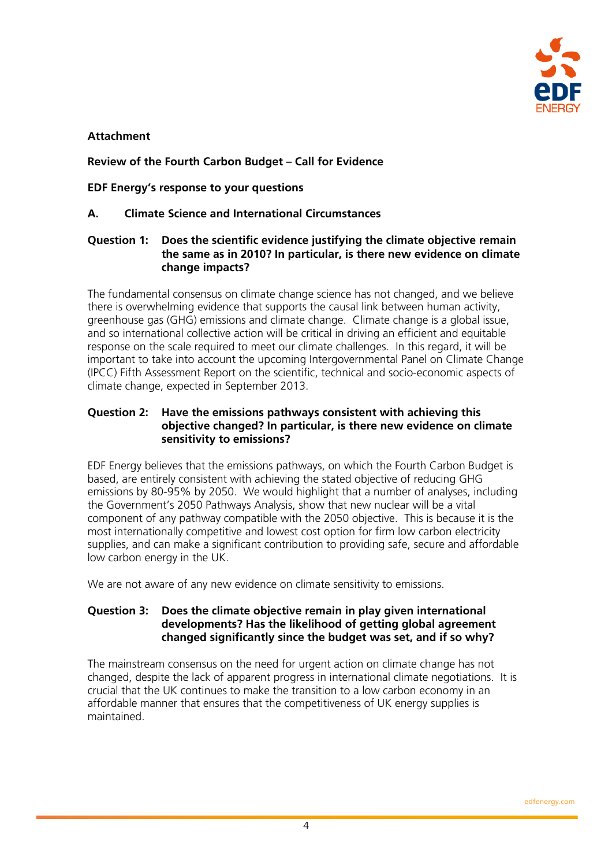

# **Attachment**

# **Review of the Fourth Carbon Budget – Call for Evidence**

# **EDF Energy's response to your questions**

# **A. Climate Science and International Circumstances**

#### **Question 1: Does the scientific evidence justifying the climate objective remain the same as in 2010? In particular, is there new evidence on climate change impacts?**

The fundamental consensus on climate change science has not changed, and we believe there is overwhelming evidence that supports the causal link between human activity, greenhouse gas (GHG) emissions and climate change. Climate change is a global issue, and so international collective action will be critical in driving an efficient and equitable response on the scale required to meet our climate challenges. In this regard, it will be important to take into account the upcoming Intergovernmental Panel on Climate Change (IPCC) Fifth Assessment Report on the scientific, technical and socio-economic aspects of climate change, expected in September 2013.

## **Question 2: Have the emissions pathways consistent with achieving this objective changed? In particular, is there new evidence on climate sensitivity to emissions?**

EDF Energy believes that the emissions pathways, on which the Fourth Carbon Budget is based, are entirely consistent with achieving the stated objective of reducing GHG emissions by 80-95% by 2050. We would highlight that a number of analyses, including the Government's 2050 Pathways Analysis, show that new nuclear will be a vital component of any pathway compatible with the 2050 objective. This is because it is the most internationally competitive and lowest cost option for firm low carbon electricity supplies, and can make a significant contribution to providing safe, secure and affordable low carbon energy in the UK.

We are not aware of any new evidence on climate sensitivity to emissions.

## **Question 3: Does the climate objective remain in play given international developments? Has the likelihood of getting global agreement changed significantly since the budget was set, and if so why?**

The mainstream consensus on the need for urgent action on climate change has not changed, despite the lack of apparent progress in international climate negotiations. It is crucial that the UK continues to make the transition to a low carbon economy in an affordable manner that ensures that the competitiveness of UK energy supplies is maintained.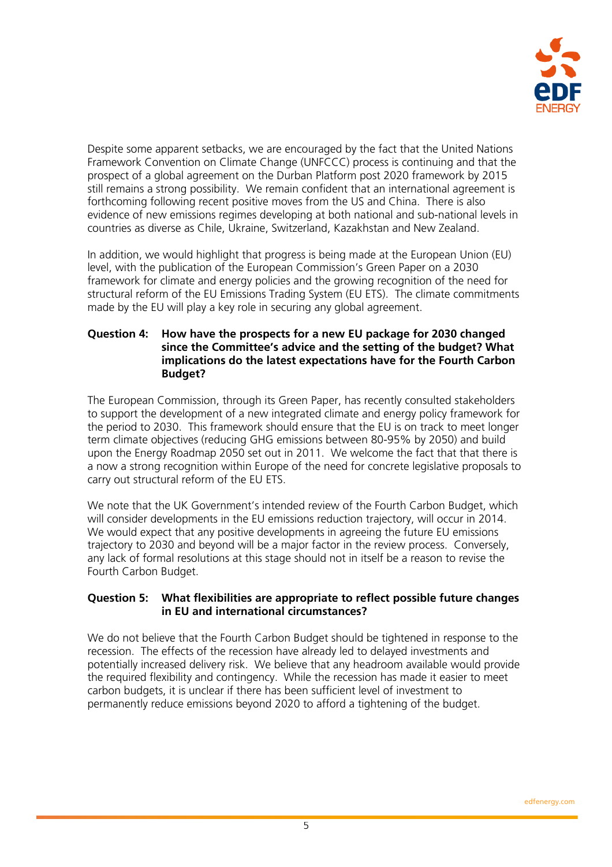

Despite some apparent setbacks, we are encouraged by the fact that the United Nations Framework Convention on Climate Change (UNFCCC) process is continuing and that the prospect of a global agreement on the Durban Platform post 2020 framework by 2015 still remains a strong possibility. We remain confident that an international agreement is forthcoming following recent positive moves from the US and China. There is also evidence of new emissions regimes developing at both national and sub-national levels in countries as diverse as Chile, Ukraine, Switzerland, Kazakhstan and New Zealand.

In addition, we would highlight that progress is being made at the European Union (EU) level, with the publication of the European Commission's Green Paper on a 2030 framework for climate and energy policies and the growing recognition of the need for structural reform of the EU Emissions Trading System (EU ETS). The climate commitments made by the EU will play a key role in securing any global agreement.

## **Question 4: How have the prospects for a new EU package for 2030 changed since the Committee's advice and the setting of the budget? What implications do the latest expectations have for the Fourth Carbon Budget?**

The European Commission, through its Green Paper, has recently consulted stakeholders to support the development of a new integrated climate and energy policy framework for the period to 2030. This framework should ensure that the EU is on track to meet longer term climate objectives (reducing GHG emissions between 80-95% by 2050) and build upon the Energy Roadmap 2050 set out in 2011. We welcome the fact that that there is a now a strong recognition within Europe of the need for concrete legislative proposals to carry out structural reform of the EU ETS.

We note that the UK Government's intended review of the Fourth Carbon Budget, which will consider developments in the EU emissions reduction trajectory, will occur in 2014. We would expect that any positive developments in agreeing the future EU emissions trajectory to 2030 and beyond will be a major factor in the review process. Conversely, any lack of formal resolutions at this stage should not in itself be a reason to revise the Fourth Carbon Budget.

## **Question 5: What flexibilities are appropriate to reflect possible future changes in EU and international circumstances?**

We do not believe that the Fourth Carbon Budget should be tightened in response to the recession. The effects of the recession have already led to delayed investments and potentially increased delivery risk. We believe that any headroom available would provide the required flexibility and contingency. While the recession has made it easier to meet carbon budgets, it is unclear if there has been sufficient level of investment to permanently reduce emissions beyond 2020 to afford a tightening of the budget.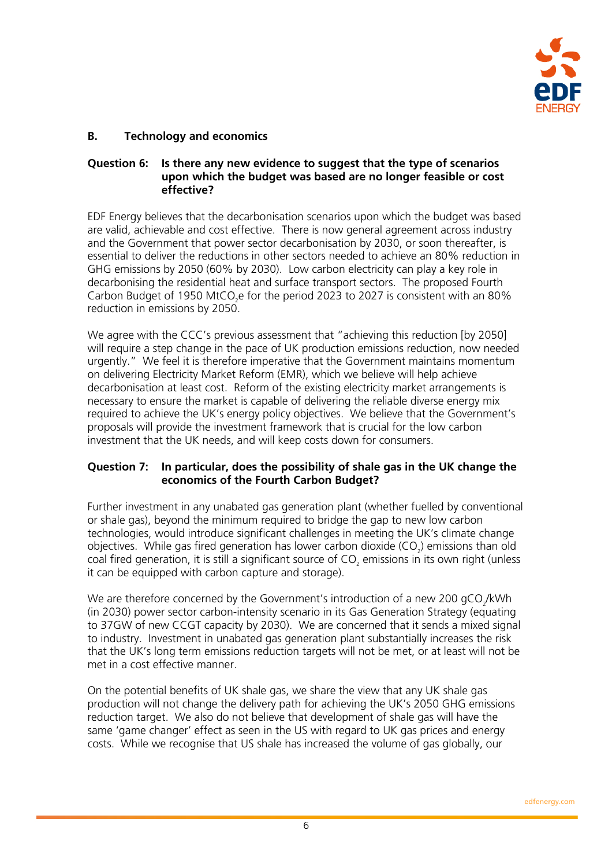

# **B. Technology and economics**

## **Question 6: Is there any new evidence to suggest that the type of scenarios upon which the budget was based are no longer feasible or cost effective?**

EDF Energy believes that the decarbonisation scenarios upon which the budget was based are valid, achievable and cost effective. There is now general agreement across industry and the Government that power sector decarbonisation by 2030, or soon thereafter, is essential to deliver the reductions in other sectors needed to achieve an 80% reduction in GHG emissions by 2050 (60% by 2030). Low carbon electricity can play a key role in decarbonising the residential heat and surface transport sectors. The proposed Fourth Carbon Budget of 1950 MtCO<sub>2</sub>e for the period 2023 to 2027 is consistent with an 80% reduction in emissions by 2050.

We agree with the CCC's previous assessment that "achieving this reduction [by 2050] will require a step change in the pace of UK production emissions reduction, now needed urgently." We feel it is therefore imperative that the Government maintains momentum on delivering Electricity Market Reform (EMR), which we believe will help achieve decarbonisation at least cost. Reform of the existing electricity market arrangements is necessary to ensure the market is capable of delivering the reliable diverse energy mix required to achieve the UK's energy policy objectives. We believe that the Government's proposals will provide the investment framework that is crucial for the low carbon investment that the UK needs, and will keep costs down for consumers.

#### **Question 7: In particular, does the possibility of shale gas in the UK change the economics of the Fourth Carbon Budget?**

Further investment in any unabated gas generation plant (whether fuelled by conventional or shale gas), beyond the minimum required to bridge the gap to new low carbon technologies, would introduce significant challenges in meeting the UK's climate change objectives. While gas fired generation has lower carbon dioxide (CO<sub>2</sub>) emissions than old coal fired generation, it is still a significant source of CO<sub>2</sub> emissions in its own right (unless it can be equipped with carbon capture and storage).

We are therefore concerned by the Government's introduction of a new 200 gCO<sub>2</sub>/kWh (in 2030) power sector carbon-intensity scenario in its Gas Generation Strategy (equating to 37GW of new CCGT capacity by 2030). We are concerned that it sends a mixed signal to industry. Investment in unabated gas generation plant substantially increases the risk that the UK's long term emissions reduction targets will not be met, or at least will not be met in a cost effective manner.

On the potential benefits of UK shale gas, we share the view that any UK shale gas production will not change the delivery path for achieving the UK's 2050 GHG emissions reduction target. We also do not believe that development of shale gas will have the same 'game changer' effect as seen in the US with regard to UK gas prices and energy costs. While we recognise that US shale has increased the volume of gas globally, our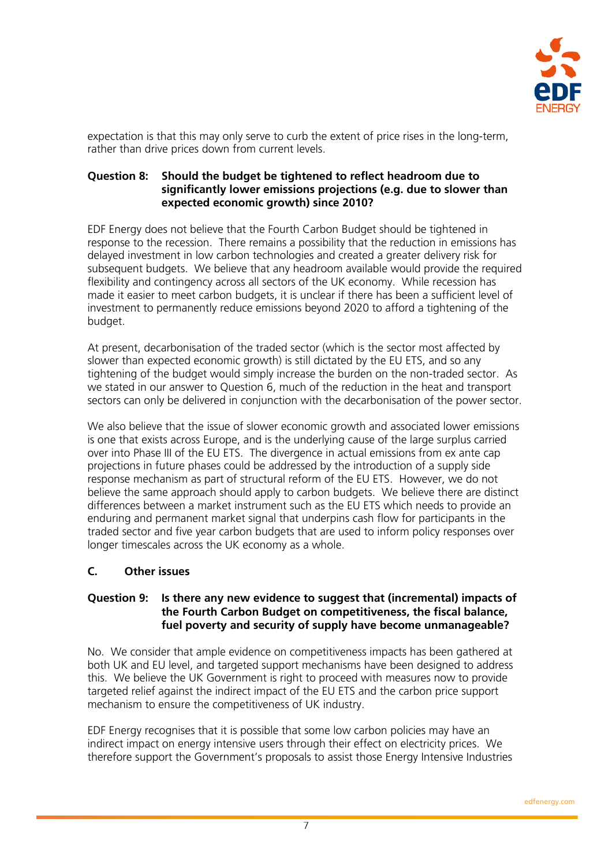

expectation is that this may only serve to curb the extent of price rises in the long-term, rather than drive prices down from current levels.

## **Question 8: Should the budget be tightened to reflect headroom due to significantly lower emissions projections (e.g. due to slower than expected economic growth) since 2010?**

EDF Energy does not believe that the Fourth Carbon Budget should be tightened in response to the recession. There remains a possibility that the reduction in emissions has delayed investment in low carbon technologies and created a greater delivery risk for subsequent budgets. We believe that any headroom available would provide the required flexibility and contingency across all sectors of the UK economy. While recession has made it easier to meet carbon budgets, it is unclear if there has been a sufficient level of investment to permanently reduce emissions beyond 2020 to afford a tightening of the budget.

At present, decarbonisation of the traded sector (which is the sector most affected by slower than expected economic growth) is still dictated by the EU ETS, and so any tightening of the budget would simply increase the burden on the non-traded sector. As we stated in our answer to Question 6, much of the reduction in the heat and transport sectors can only be delivered in conjunction with the decarbonisation of the power sector.

We also believe that the issue of slower economic growth and associated lower emissions is one that exists across Europe, and is the underlying cause of the large surplus carried over into Phase III of the EU ETS. The divergence in actual emissions from ex ante cap projections in future phases could be addressed by the introduction of a supply side response mechanism as part of structural reform of the EU ETS. However, we do not believe the same approach should apply to carbon budgets. We believe there are distinct differences between a market instrument such as the EU ETS which needs to provide an enduring and permanent market signal that underpins cash flow for participants in the traded sector and five year carbon budgets that are used to inform policy responses over longer timescales across the UK economy as a whole.

# **C. Other issues**

## **Question 9: Is there any new evidence to suggest that (incremental) impacts of the Fourth Carbon Budget on competitiveness, the fiscal balance, fuel poverty and security of supply have become unmanageable?**

No. We consider that ample evidence on competitiveness impacts has been gathered at both UK and EU level, and targeted support mechanisms have been designed to address this. We believe the UK Government is right to proceed with measures now to provide targeted relief against the indirect impact of the EU ETS and the carbon price support mechanism to ensure the competitiveness of UK industry.

EDF Energy recognises that it is possible that some low carbon policies may have an indirect impact on energy intensive users through their effect on electricity prices. We therefore support the Government's proposals to assist those Energy Intensive Industries